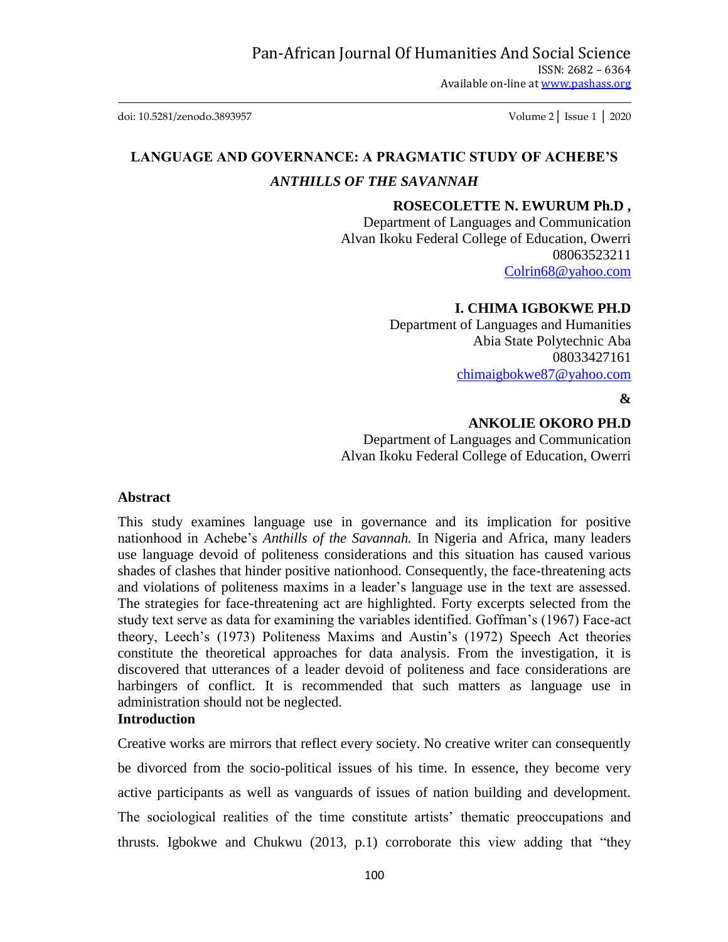doi: 10.5281/zenodo.3893957 Volume 2│ Issue 1 │ 2020

# **LANGUAGE AND GOVERNANCE: A PRAGMATIC STUDY OF ACHEBE'S**

# *ANTHILLS OF THE SAVANNAH*

#### **ROSECOLETTE N. EWURUM Ph.D ,**

Department of Languages and Communication Alvan Ikoku Federal College of Education, Owerri 08063523211 [Colrin68@yahoo.com](mailto:Colrin68@yahoo.com)

# **I. CHIMA IGBOKWE PH.D**

Department of Languages and Humanities Abia State Polytechnic Aba 08033427161 [chimaigbokwe87@yahoo.com](mailto:chimaigbokwe87@yahoo.com)

#### **&**

#### **ANKOLIE OKORO PH.D**

Department of Languages and Communication Alvan Ikoku Federal College of Education, Owerri

#### **Abstract**

This study examines language use in governance and its implication for positive nationhood in Achebe"s *Anthills of the Savannah.* In Nigeria and Africa, many leaders use language devoid of politeness considerations and this situation has caused various shades of clashes that hinder positive nationhood. Consequently, the face-threatening acts and violations of politeness maxims in a leader"s language use in the text are assessed. The strategies for face-threatening act are highlighted. Forty excerpts selected from the study text serve as data for examining the variables identified. Goffman"s (1967) Face-act theory, Leech"s (1973) Politeness Maxims and Austin"s (1972) Speech Act theories constitute the theoretical approaches for data analysis. From the investigation, it is discovered that utterances of a leader devoid of politeness and face considerations are harbingers of conflict. It is recommended that such matters as language use in administration should not be neglected.

# **Introduction**

Creative works are mirrors that reflect every society. No creative writer can consequently be divorced from the socio-political issues of his time. In essence, they become very active participants as well as vanguards of issues of nation building and development. The sociological realities of the time constitute artists' thematic preoccupations and thrusts. Igbokwe and Chukwu (2013, p.1) corroborate this view adding that "they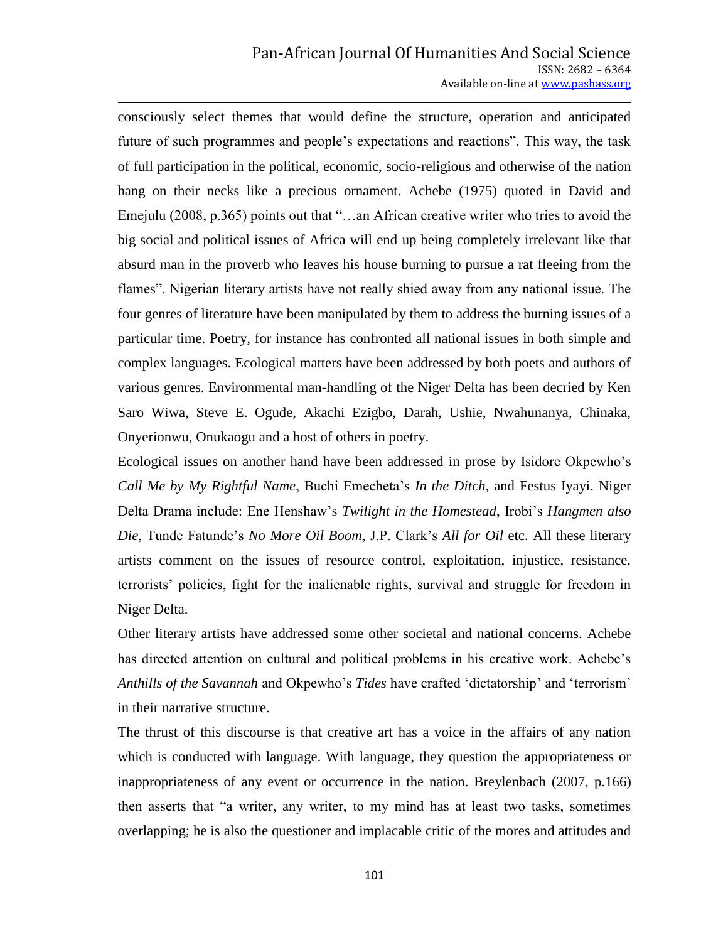consciously select themes that would define the structure, operation and anticipated future of such programmes and people"s expectations and reactions". This way, the task of full participation in the political, economic, socio-religious and otherwise of the nation hang on their necks like a precious ornament. Achebe (1975) quoted in David and Emejulu (2008, p.365) points out that "…an African creative writer who tries to avoid the big social and political issues of Africa will end up being completely irrelevant like that absurd man in the proverb who leaves his house burning to pursue a rat fleeing from the flames". Nigerian literary artists have not really shied away from any national issue. The four genres of literature have been manipulated by them to address the burning issues of a particular time. Poetry, for instance has confronted all national issues in both simple and complex languages. Ecological matters have been addressed by both poets and authors of various genres. Environmental man-handling of the Niger Delta has been decried by Ken Saro Wiwa, Steve E. Ogude, Akachi Ezigbo, Darah, Ushie, Nwahunanya, Chinaka, Onyerionwu, Onukaogu and a host of others in poetry.

Ecological issues on another hand have been addressed in prose by Isidore Okpewho"s *Call Me by My Rightful Name*, Buchi Emecheta"s *In the Ditch*, and Festus Iyayi. Niger Delta Drama include: Ene Henshaw"s *Twilight in the Homestead*, Irobi"s *Hangmen also Die*, Tunde Fatunde"s *No More Oil Boom*, J.P. Clark"s *All for Oil* etc. All these literary artists comment on the issues of resource control, exploitation, injustice, resistance, terrorists" policies, fight for the inalienable rights, survival and struggle for freedom in Niger Delta.

Other literary artists have addressed some other societal and national concerns. Achebe has directed attention on cultural and political problems in his creative work. Achebe's *Anthills of the Savannah* and Okpewho"s *Tides* have crafted "dictatorship" and "terrorism" in their narrative structure.

The thrust of this discourse is that creative art has a voice in the affairs of any nation which is conducted with language. With language, they question the appropriateness or inappropriateness of any event or occurrence in the nation. Breylenbach (2007, p.166) then asserts that "a writer, any writer, to my mind has at least two tasks, sometimes overlapping; he is also the questioner and implacable critic of the mores and attitudes and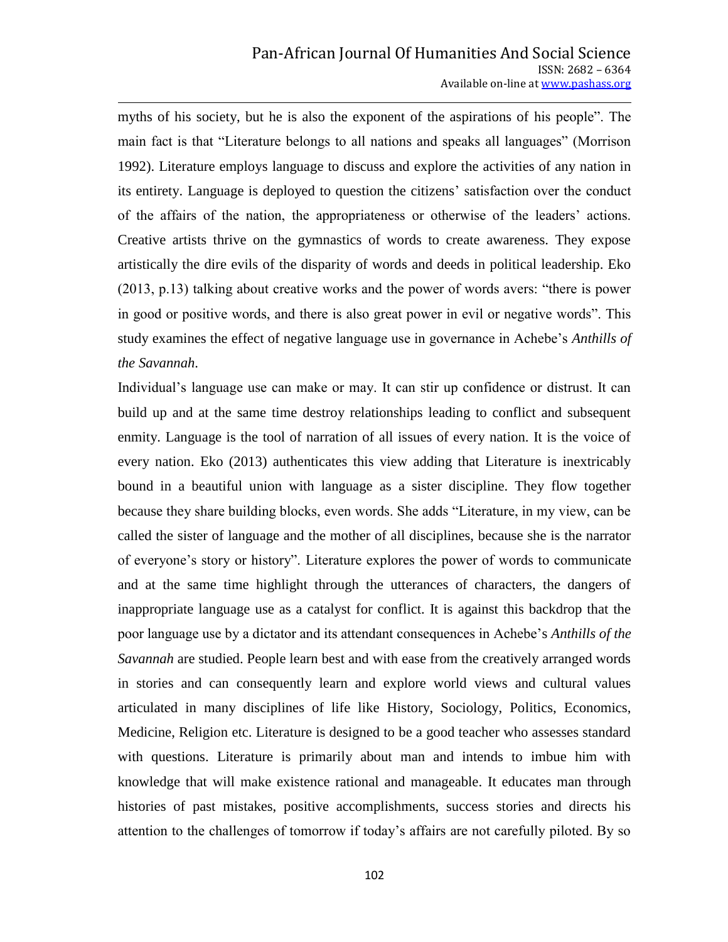myths of his society, but he is also the exponent of the aspirations of his people". The main fact is that "Literature belongs to all nations and speaks all languages" (Morrison 1992). Literature employs language to discuss and explore the activities of any nation in its entirety. Language is deployed to question the citizens" satisfaction over the conduct of the affairs of the nation, the appropriateness or otherwise of the leaders" actions. Creative artists thrive on the gymnastics of words to create awareness. They expose artistically the dire evils of the disparity of words and deeds in political leadership. Eko (2013, p.13) talking about creative works and the power of words avers: "there is power in good or positive words, and there is also great power in evil or negative words". This study examines the effect of negative language use in governance in Achebe"s *Anthills of the Savannah*.

Individual"s language use can make or may. It can stir up confidence or distrust. It can build up and at the same time destroy relationships leading to conflict and subsequent enmity. Language is the tool of narration of all issues of every nation. It is the voice of every nation. Eko (2013) authenticates this view adding that Literature is inextricably bound in a beautiful union with language as a sister discipline. They flow together because they share building blocks, even words. She adds "Literature, in my view, can be called the sister of language and the mother of all disciplines, because she is the narrator of everyone"s story or history". Literature explores the power of words to communicate and at the same time highlight through the utterances of characters, the dangers of inappropriate language use as a catalyst for conflict. It is against this backdrop that the poor language use by a dictator and its attendant consequences in Achebe"s *Anthills of the Savannah* are studied. People learn best and with ease from the creatively arranged words in stories and can consequently learn and explore world views and cultural values articulated in many disciplines of life like History, Sociology, Politics, Economics, Medicine, Religion etc. Literature is designed to be a good teacher who assesses standard with questions. Literature is primarily about man and intends to imbue him with knowledge that will make existence rational and manageable. It educates man through histories of past mistakes, positive accomplishments, success stories and directs his attention to the challenges of tomorrow if today"s affairs are not carefully piloted. By so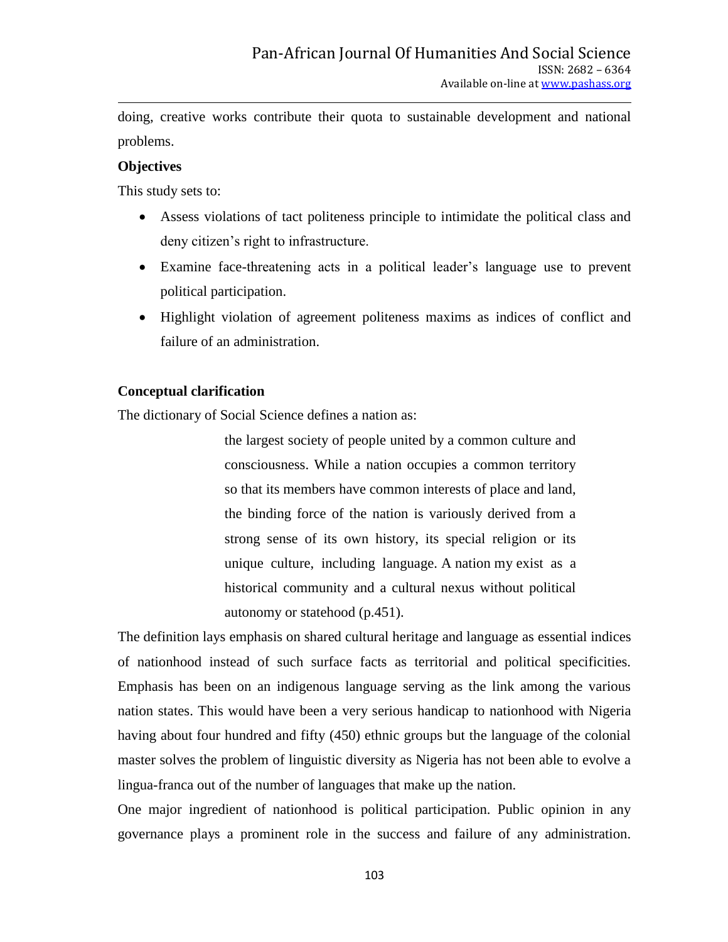doing, creative works contribute their quota to sustainable development and national problems.

### **Objectives**

This study sets to:

- Assess violations of tact politeness principle to intimidate the political class and deny citizen"s right to infrastructure.
- Examine face-threatening acts in a political leader"s language use to prevent political participation.
- Highlight violation of agreement politeness maxims as indices of conflict and failure of an administration.

### **Conceptual clarification**

The dictionary of Social Science defines a nation as:

the largest society of people united by a common culture and consciousness. While a nation occupies a common territory so that its members have common interests of place and land, the binding force of the nation is variously derived from a strong sense of its own history, its special religion or its unique culture, including language. A nation my exist as a historical community and a cultural nexus without political autonomy or statehood (p.451).

The definition lays emphasis on shared cultural heritage and language as essential indices of nationhood instead of such surface facts as territorial and political specificities. Emphasis has been on an indigenous language serving as the link among the various nation states. This would have been a very serious handicap to nationhood with Nigeria having about four hundred and fifty (450) ethnic groups but the language of the colonial master solves the problem of linguistic diversity as Nigeria has not been able to evolve a lingua-franca out of the number of languages that make up the nation.

One major ingredient of nationhood is political participation. Public opinion in any governance plays a prominent role in the success and failure of any administration.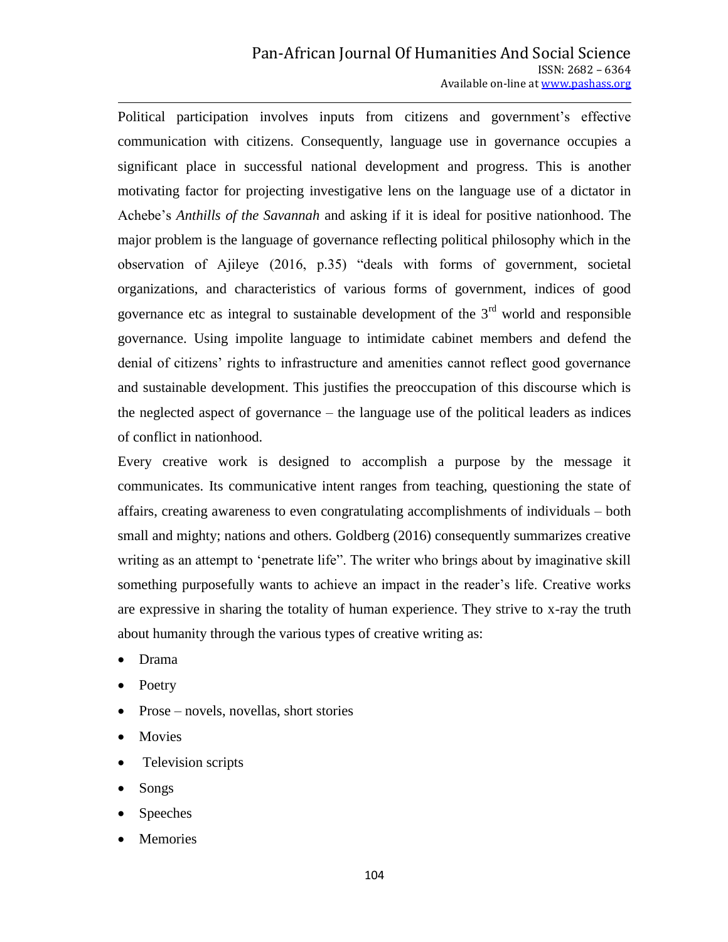Political participation involves inputs from citizens and government's effective communication with citizens. Consequently, language use in governance occupies a significant place in successful national development and progress. This is another motivating factor for projecting investigative lens on the language use of a dictator in Achebe"s *Anthills of the Savannah* and asking if it is ideal for positive nationhood. The major problem is the language of governance reflecting political philosophy which in the observation of Ajileye (2016, p.35) "deals with forms of government, societal organizations, and characteristics of various forms of government, indices of good governance etc as integral to sustainable development of the  $3<sup>rd</sup>$  world and responsible governance. Using impolite language to intimidate cabinet members and defend the denial of citizens' rights to infrastructure and amenities cannot reflect good governance and sustainable development. This justifies the preoccupation of this discourse which is the neglected aspect of governance – the language use of the political leaders as indices of conflict in nationhood.

Every creative work is designed to accomplish a purpose by the message it communicates. Its communicative intent ranges from teaching, questioning the state of affairs, creating awareness to even congratulating accomplishments of individuals – both small and mighty; nations and others. Goldberg (2016) consequently summarizes creative writing as an attempt to 'penetrate life". The writer who brings about by imaginative skill something purposefully wants to achieve an impact in the reader"s life. Creative works are expressive in sharing the totality of human experience. They strive to x-ray the truth about humanity through the various types of creative writing as:

- Drama
- Poetry
- Prose novels, novellas, short stories
- Movies
- Television scripts
- Songs
- Speeches
- Memories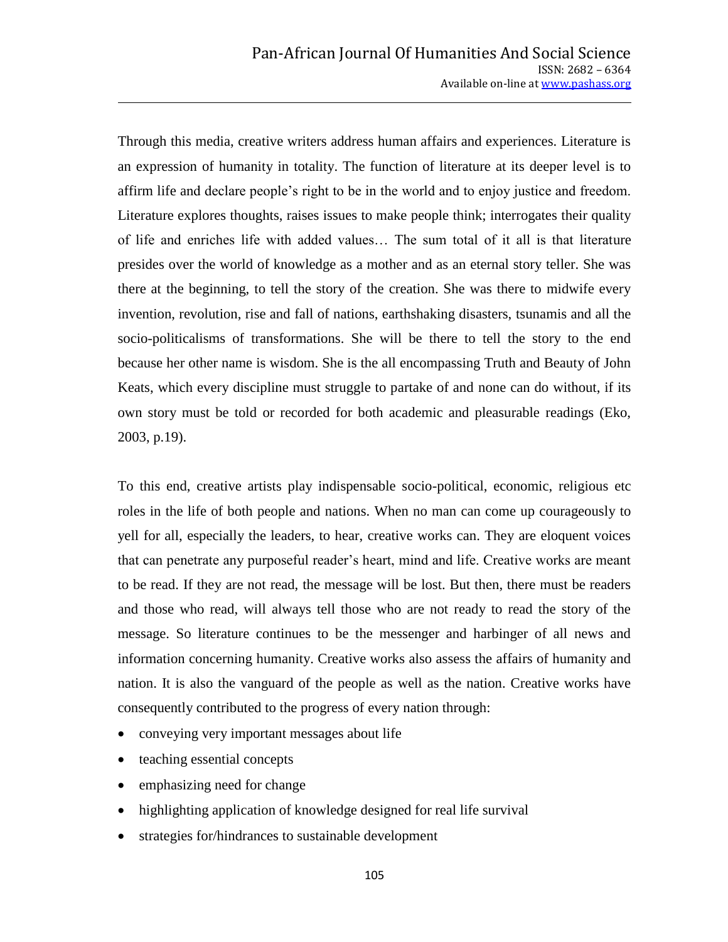Through this media, creative writers address human affairs and experiences. Literature is an expression of humanity in totality. The function of literature at its deeper level is to affirm life and declare people"s right to be in the world and to enjoy justice and freedom. Literature explores thoughts, raises issues to make people think; interrogates their quality of life and enriches life with added values… The sum total of it all is that literature presides over the world of knowledge as a mother and as an eternal story teller. She was there at the beginning, to tell the story of the creation. She was there to midwife every invention, revolution, rise and fall of nations, earthshaking disasters, tsunamis and all the socio-politicalisms of transformations. She will be there to tell the story to the end because her other name is wisdom. She is the all encompassing Truth and Beauty of John Keats, which every discipline must struggle to partake of and none can do without, if its own story must be told or recorded for both academic and pleasurable readings (Eko, 2003, p.19).

To this end, creative artists play indispensable socio-political, economic, religious etc roles in the life of both people and nations. When no man can come up courageously to yell for all, especially the leaders, to hear, creative works can. They are eloquent voices that can penetrate any purposeful reader"s heart, mind and life. Creative works are meant to be read. If they are not read, the message will be lost. But then, there must be readers and those who read, will always tell those who are not ready to read the story of the message. So literature continues to be the messenger and harbinger of all news and information concerning humanity. Creative works also assess the affairs of humanity and nation. It is also the vanguard of the people as well as the nation. Creative works have consequently contributed to the progress of every nation through:

- conveying very important messages about life
- teaching essential concepts
- emphasizing need for change
- highlighting application of knowledge designed for real life survival
- strategies for/hindrances to sustainable development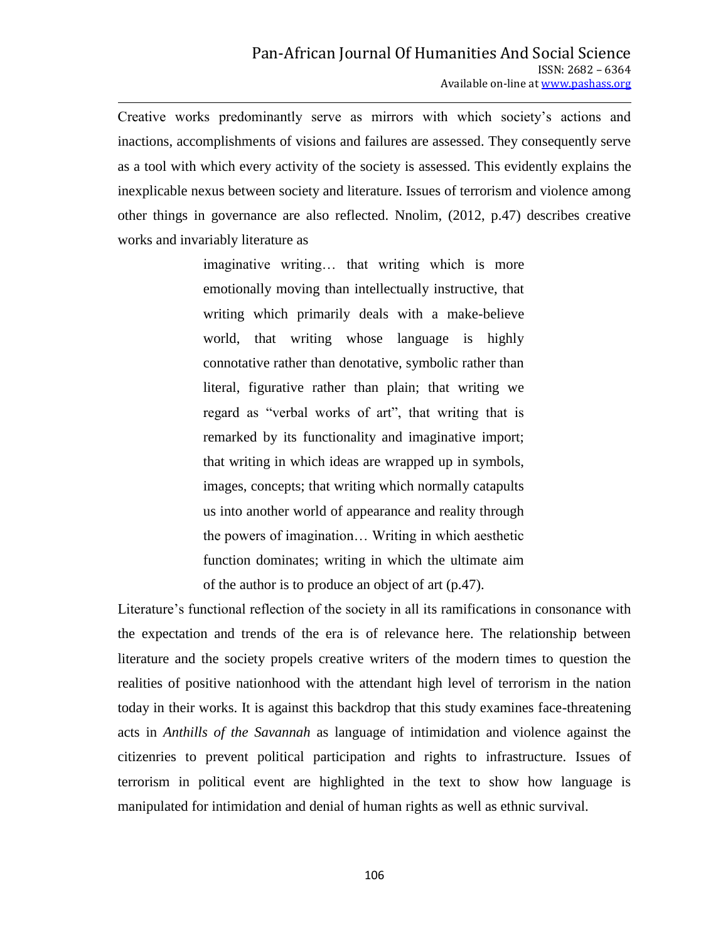Creative works predominantly serve as mirrors with which society"s actions and inactions, accomplishments of visions and failures are assessed. They consequently serve as a tool with which every activity of the society is assessed. This evidently explains the inexplicable nexus between society and literature. Issues of terrorism and violence among other things in governance are also reflected. Nnolim, (2012, p.47) describes creative works and invariably literature as

> imaginative writing… that writing which is more emotionally moving than intellectually instructive, that writing which primarily deals with a make-believe world, that writing whose language is highly connotative rather than denotative, symbolic rather than literal, figurative rather than plain; that writing we regard as "verbal works of art", that writing that is remarked by its functionality and imaginative import; that writing in which ideas are wrapped up in symbols, images, concepts; that writing which normally catapults us into another world of appearance and reality through the powers of imagination… Writing in which aesthetic function dominates; writing in which the ultimate aim of the author is to produce an object of art (p.47).

Literature"s functional reflection of the society in all its ramifications in consonance with the expectation and trends of the era is of relevance here. The relationship between literature and the society propels creative writers of the modern times to question the realities of positive nationhood with the attendant high level of terrorism in the nation today in their works. It is against this backdrop that this study examines face-threatening acts in *Anthills of the Savannah* as language of intimidation and violence against the citizenries to prevent political participation and rights to infrastructure. Issues of terrorism in political event are highlighted in the text to show how language is manipulated for intimidation and denial of human rights as well as ethnic survival.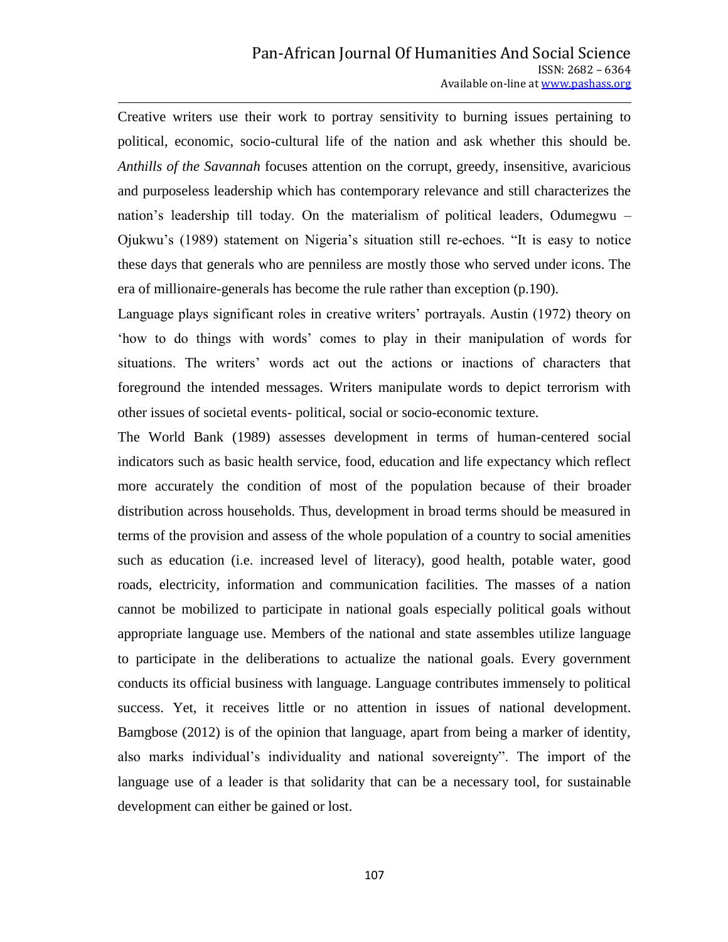Creative writers use their work to portray sensitivity to burning issues pertaining to political, economic, socio-cultural life of the nation and ask whether this should be. *Anthills of the Savannah* focuses attention on the corrupt, greedy, insensitive, avaricious and purposeless leadership which has contemporary relevance and still characterizes the nation"s leadership till today. On the materialism of political leaders, Odumegwu – Ojukwu"s (1989) statement on Nigeria"s situation still re-echoes. "It is easy to notice these days that generals who are penniless are mostly those who served under icons. The era of millionaire-generals has become the rule rather than exception (p.190).

Language plays significant roles in creative writers' portrayals. Austin (1972) theory on "how to do things with words" comes to play in their manipulation of words for situations. The writers' words act out the actions or inactions of characters that foreground the intended messages. Writers manipulate words to depict terrorism with other issues of societal events- political, social or socio-economic texture.

The World Bank (1989) assesses development in terms of human-centered social indicators such as basic health service, food, education and life expectancy which reflect more accurately the condition of most of the population because of their broader distribution across households. Thus, development in broad terms should be measured in terms of the provision and assess of the whole population of a country to social amenities such as education (i.e. increased level of literacy), good health, potable water, good roads, electricity, information and communication facilities. The masses of a nation cannot be mobilized to participate in national goals especially political goals without appropriate language use. Members of the national and state assembles utilize language to participate in the deliberations to actualize the national goals. Every government conducts its official business with language. Language contributes immensely to political success. Yet, it receives little or no attention in issues of national development. Bamgbose (2012) is of the opinion that language, apart from being a marker of identity, also marks individual"s individuality and national sovereignty". The import of the language use of a leader is that solidarity that can be a necessary tool, for sustainable development can either be gained or lost.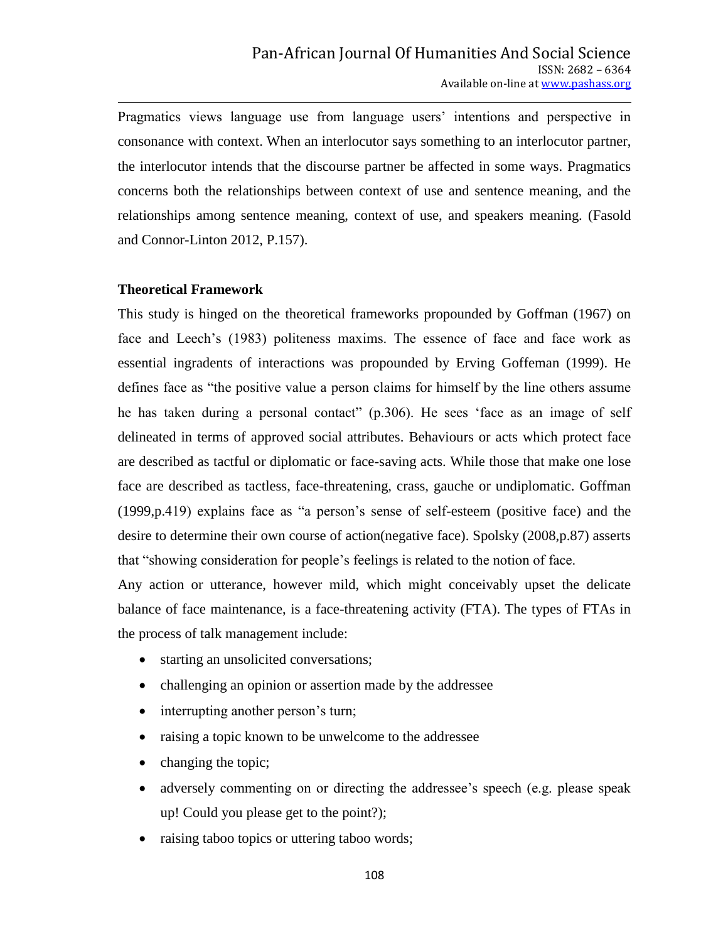Pragmatics views language use from language users' intentions and perspective in consonance with context. When an interlocutor says something to an interlocutor partner, the interlocutor intends that the discourse partner be affected in some ways. Pragmatics concerns both the relationships between context of use and sentence meaning, and the relationships among sentence meaning, context of use, and speakers meaning. (Fasold and Connor-Linton 2012, P.157).

#### **Theoretical Framework**

This study is hinged on the theoretical frameworks propounded by Goffman (1967) on face and Leech"s (1983) politeness maxims. The essence of face and face work as essential ingradents of interactions was propounded by Erving Goffeman (1999). He defines face as "the positive value a person claims for himself by the line others assume he has taken during a personal contact" (p.306). He sees "face as an image of self delineated in terms of approved social attributes. Behaviours or acts which protect face are described as tactful or diplomatic or face-saving acts. While those that make one lose face are described as tactless, face-threatening, crass, gauche or undiplomatic. Goffman (1999,p.419) explains face as "a person"s sense of self-esteem (positive face) and the desire to determine their own course of action(negative face). Spolsky (2008,p.87) asserts that "showing consideration for people"s feelings is related to the notion of face.

Any action or utterance, however mild, which might conceivably upset the delicate balance of face maintenance, is a face-threatening activity (FTA). The types of FTAs in the process of talk management include:

- starting an unsolicited conversations;
- challenging an opinion or assertion made by the addressee
- interrupting another person's turn;
- raising a topic known to be unwelcome to the addressee
- changing the topic;
- adversely commenting on or directing the addressee"s speech (e.g. please speak up! Could you please get to the point?);
- raising taboo topics or uttering taboo words;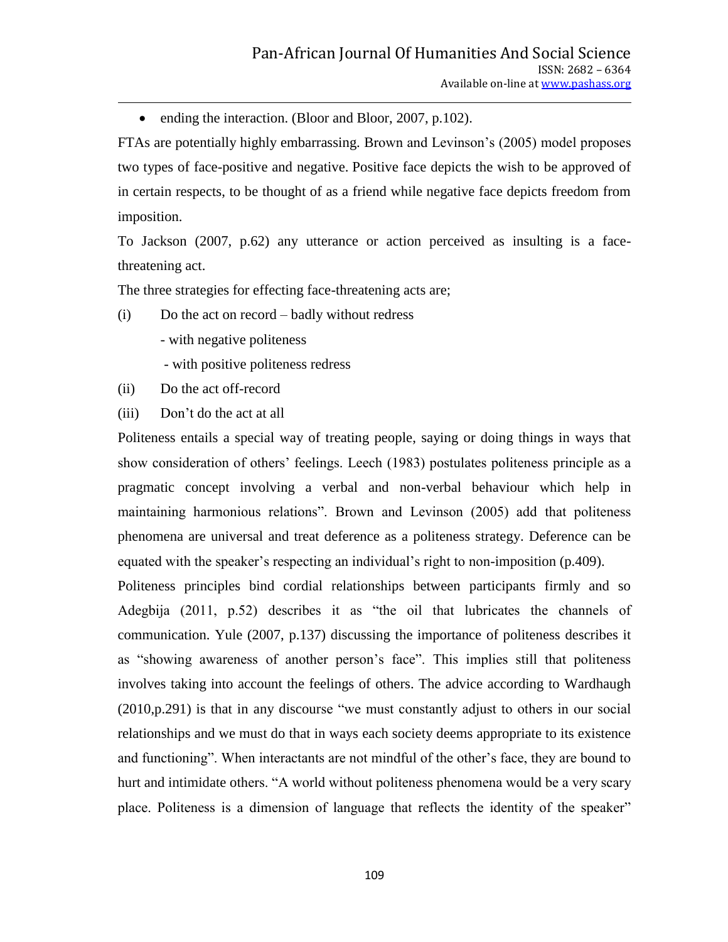• ending the interaction. (Bloor and Bloor, 2007, p.102).

FTAs are potentially highly embarrassing. Brown and Levinson"s (2005) model proposes two types of face-positive and negative. Positive face depicts the wish to be approved of in certain respects, to be thought of as a friend while negative face depicts freedom from imposition.

To Jackson (2007, p.62) any utterance or action perceived as insulting is a facethreatening act.

The three strategies for effecting face-threatening acts are;

(i) Do the act on record – badly without redress

- with negative politeness
- with positive politeness redress
- (ii) Do the act off-record
- (iii) Don"t do the act at all

Politeness entails a special way of treating people, saying or doing things in ways that show consideration of others' feelings. Leech (1983) postulates politeness principle as a pragmatic concept involving a verbal and non-verbal behaviour which help in maintaining harmonious relations". Brown and Levinson (2005) add that politeness phenomena are universal and treat deference as a politeness strategy. Deference can be equated with the speaker's respecting an individual's right to non-imposition (p.409).

Politeness principles bind cordial relationships between participants firmly and so Adegbija (2011, p.52) describes it as "the oil that lubricates the channels of communication. Yule (2007, p.137) discussing the importance of politeness describes it as "showing awareness of another person"s face". This implies still that politeness involves taking into account the feelings of others. The advice according to Wardhaugh (2010,p.291) is that in any discourse "we must constantly adjust to others in our social relationships and we must do that in ways each society deems appropriate to its existence and functioning". When interactants are not mindful of the other"s face, they are bound to hurt and intimidate others. "A world without politeness phenomena would be a very scary place. Politeness is a dimension of language that reflects the identity of the speaker"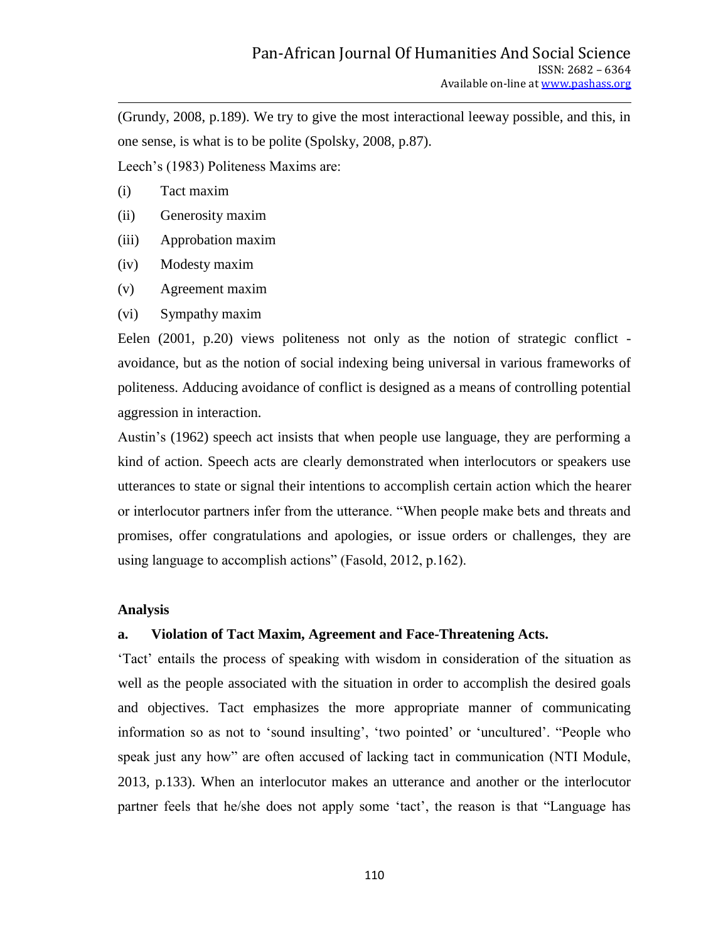(Grundy, 2008, p.189). We try to give the most interactional leeway possible, and this, in one sense, is what is to be polite (Spolsky, 2008, p.87).

Leech"s (1983) Politeness Maxims are:

- (i) Tact maxim
- (ii) Generosity maxim
- (iii) Approbation maxim
- (iv) Modesty maxim
- (v) Agreement maxim
- (vi) Sympathy maxim

Eelen (2001, p.20) views politeness not only as the notion of strategic conflict avoidance, but as the notion of social indexing being universal in various frameworks of politeness. Adducing avoidance of conflict is designed as a means of controlling potential aggression in interaction.

Austin"s (1962) speech act insists that when people use language, they are performing a kind of action. Speech acts are clearly demonstrated when interlocutors or speakers use utterances to state or signal their intentions to accomplish certain action which the hearer or interlocutor partners infer from the utterance. "When people make bets and threats and promises, offer congratulations and apologies, or issue orders or challenges, they are using language to accomplish actions" (Fasold, 2012, p.162).

#### **Analysis**

#### **a. Violation of Tact Maxim, Agreement and Face-Threatening Acts.**

"Tact" entails the process of speaking with wisdom in consideration of the situation as well as the people associated with the situation in order to accomplish the desired goals and objectives. Tact emphasizes the more appropriate manner of communicating information so as not to 'sound insulting', 'two pointed' or 'uncultured'. "People who speak just any how" are often accused of lacking tact in communication (NTI Module, 2013, p.133). When an interlocutor makes an utterance and another or the interlocutor partner feels that he/she does not apply some 'tact', the reason is that "Language has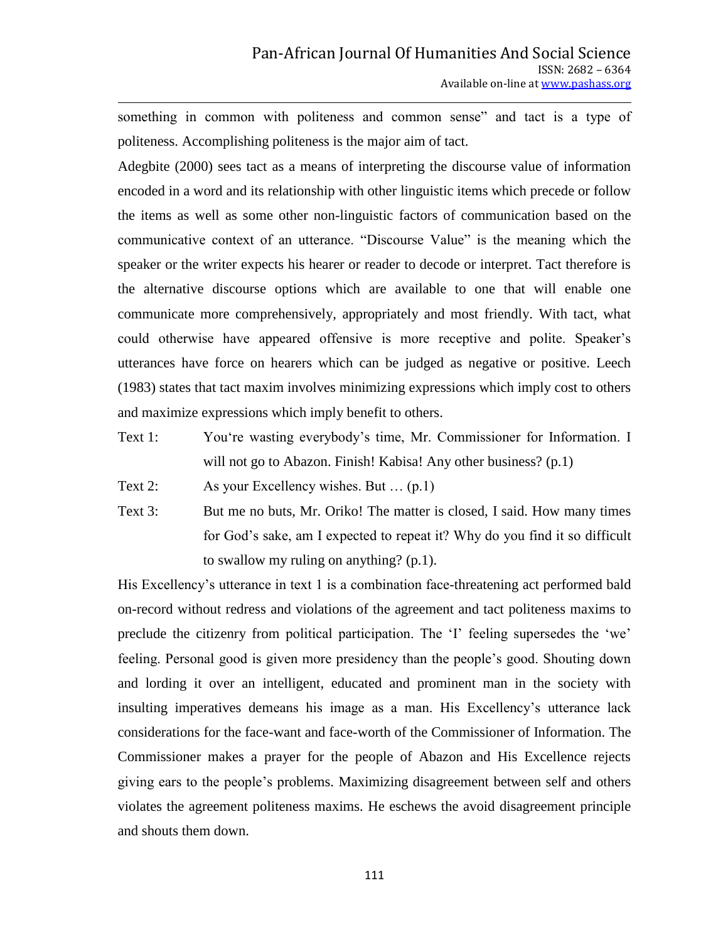something in common with politeness and common sense" and tact is a type of politeness. Accomplishing politeness is the major aim of tact.

Adegbite (2000) sees tact as a means of interpreting the discourse value of information encoded in a word and its relationship with other linguistic items which precede or follow the items as well as some other non-linguistic factors of communication based on the communicative context of an utterance. "Discourse Value" is the meaning which the speaker or the writer expects his hearer or reader to decode or interpret. Tact therefore is the alternative discourse options which are available to one that will enable one communicate more comprehensively, appropriately and most friendly. With tact, what could otherwise have appeared offensive is more receptive and polite. Speaker"s utterances have force on hearers which can be judged as negative or positive. Leech (1983) states that tact maxim involves minimizing expressions which imply cost to others and maximize expressions which imply benefit to others.

Text 1: You"re wasting everybody"s time, Mr. Commissioner for Information. I will not go to Abazon. Finish! Kabisa! Any other business? (p.1)

Text 2: As your Excellency wishes. But … (p.1)

Text 3: But me no buts, Mr. Oriko! The matter is closed, I said. How many times for God"s sake, am I expected to repeat it? Why do you find it so difficult to swallow my ruling on anything? (p.1).

His Excellency"s utterance in text 1 is a combination face-threatening act performed bald on-record without redress and violations of the agreement and tact politeness maxims to preclude the citizenry from political participation. The 'I' feeling supersedes the 'we' feeling. Personal good is given more presidency than the people"s good. Shouting down and lording it over an intelligent, educated and prominent man in the society with insulting imperatives demeans his image as a man. His Excellency"s utterance lack considerations for the face-want and face-worth of the Commissioner of Information. The Commissioner makes a prayer for the people of Abazon and His Excellence rejects giving ears to the people"s problems. Maximizing disagreement between self and others violates the agreement politeness maxims. He eschews the avoid disagreement principle and shouts them down.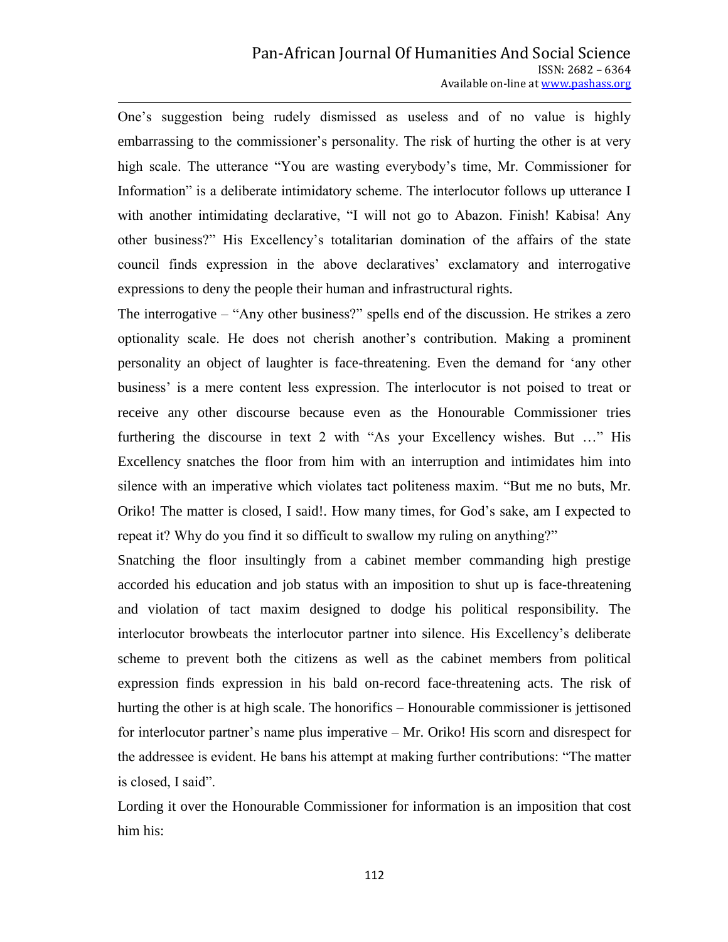One"s suggestion being rudely dismissed as useless and of no value is highly embarrassing to the commissioner's personality. The risk of hurting the other is at very high scale. The utterance "You are wasting everybody's time, Mr. Commissioner for Information" is a deliberate intimidatory scheme. The interlocutor follows up utterance I with another intimidating declarative, "I will not go to Abazon. Finish! Kabisa! Any other business?" His Excellency"s totalitarian domination of the affairs of the state council finds expression in the above declaratives' exclamatory and interrogative expressions to deny the people their human and infrastructural rights.

The interrogative – "Any other business?" spells end of the discussion. He strikes a zero optionality scale. He does not cherish another"s contribution. Making a prominent personality an object of laughter is face-threatening. Even the demand for "any other business' is a mere content less expression. The interlocutor is not poised to treat or receive any other discourse because even as the Honourable Commissioner tries furthering the discourse in text 2 with "As your Excellency wishes. But …" His Excellency snatches the floor from him with an interruption and intimidates him into silence with an imperative which violates tact politeness maxim. "But me no buts, Mr. Oriko! The matter is closed, I said!. How many times, for God"s sake, am I expected to repeat it? Why do you find it so difficult to swallow my ruling on anything?"

Snatching the floor insultingly from a cabinet member commanding high prestige accorded his education and job status with an imposition to shut up is face-threatening and violation of tact maxim designed to dodge his political responsibility. The interlocutor browbeats the interlocutor partner into silence. His Excellency"s deliberate scheme to prevent both the citizens as well as the cabinet members from political expression finds expression in his bald on-record face-threatening acts. The risk of hurting the other is at high scale. The honorifics – Honourable commissioner is jettisoned for interlocutor partner's name plus imperative – Mr. Oriko! His scorn and disrespect for the addressee is evident. He bans his attempt at making further contributions: "The matter is closed, I said".

Lording it over the Honourable Commissioner for information is an imposition that cost him his: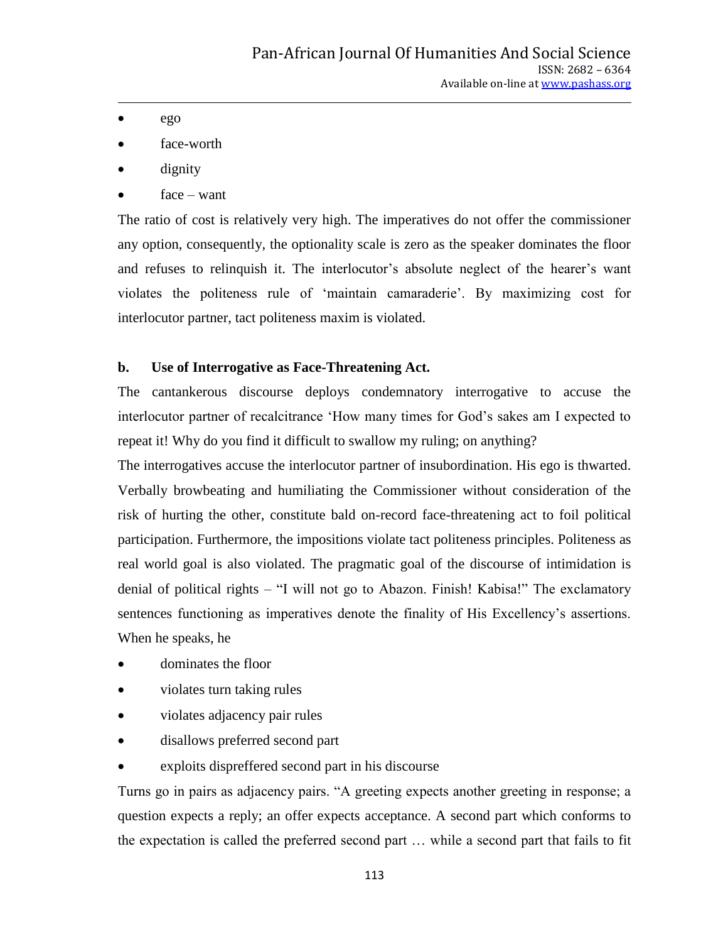- $ego$
- face-worth
- dignity
- face want

The ratio of cost is relatively very high. The imperatives do not offer the commissioner any option, consequently, the optionality scale is zero as the speaker dominates the floor and refuses to relinquish it. The interlocutor's absolute neglect of the hearer's want violates the politeness rule of "maintain camaraderie". By maximizing cost for interlocutor partner, tact politeness maxim is violated.

# **b. Use of Interrogative as Face-Threatening Act.**

The cantankerous discourse deploys condemnatory interrogative to accuse the interlocutor partner of recalcitrance "How many times for God"s sakes am I expected to repeat it! Why do you find it difficult to swallow my ruling; on anything?

The interrogatives accuse the interlocutor partner of insubordination. His ego is thwarted. Verbally browbeating and humiliating the Commissioner without consideration of the risk of hurting the other, constitute bald on-record face-threatening act to foil political participation. Furthermore, the impositions violate tact politeness principles. Politeness as real world goal is also violated. The pragmatic goal of the discourse of intimidation is denial of political rights – "I will not go to Abazon. Finish! Kabisa!" The exclamatory sentences functioning as imperatives denote the finality of His Excellency's assertions. When he speaks, he

- dominates the floor
- violates turn taking rules
- violates adjacency pair rules
- disallows preferred second part
- exploits dispreffered second part in his discourse

Turns go in pairs as adjacency pairs. "A greeting expects another greeting in response; a question expects a reply; an offer expects acceptance. A second part which conforms to the expectation is called the preferred second part … while a second part that fails to fit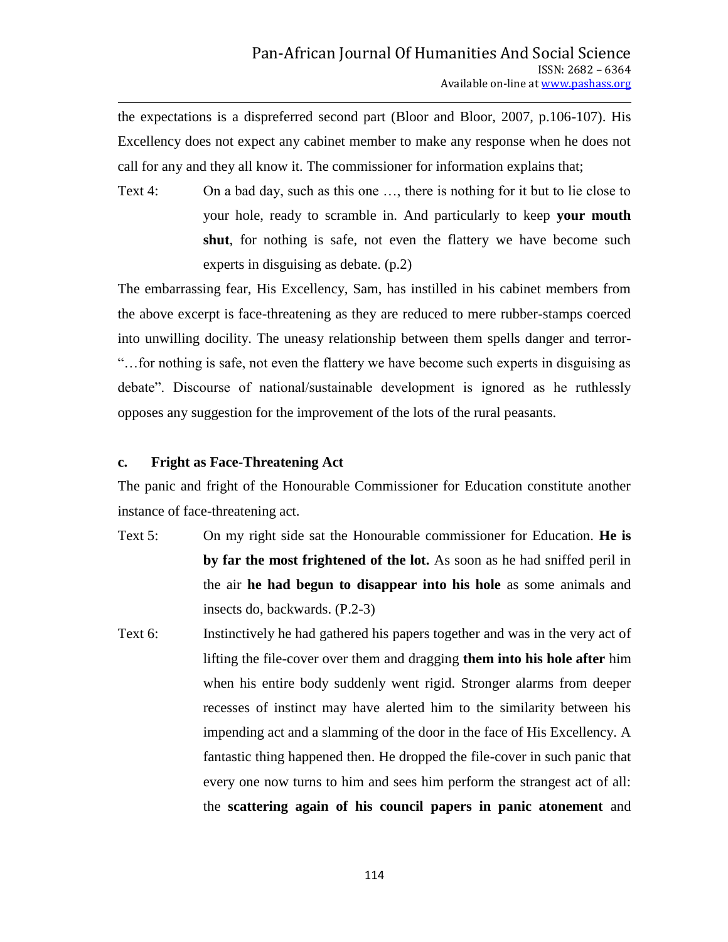the expectations is a dispreferred second part (Bloor and Bloor, 2007, p.106-107). His Excellency does not expect any cabinet member to make any response when he does not call for any and they all know it. The commissioner for information explains that;

Text 4: On a bad day, such as this one …, there is nothing for it but to lie close to your hole, ready to scramble in. And particularly to keep **your mouth shut**, for nothing is safe, not even the flattery we have become such experts in disguising as debate. (p.2)

The embarrassing fear, His Excellency, Sam, has instilled in his cabinet members from the above excerpt is face-threatening as they are reduced to mere rubber-stamps coerced into unwilling docility. The uneasy relationship between them spells danger and terror- "…for nothing is safe, not even the flattery we have become such experts in disguising as debate". Discourse of national/sustainable development is ignored as he ruthlessly opposes any suggestion for the improvement of the lots of the rural peasants.

### **c. Fright as Face-Threatening Act**

The panic and fright of the Honourable Commissioner for Education constitute another instance of face-threatening act.

- Text 5: On my right side sat the Honourable commissioner for Education. **He is by far the most frightened of the lot.** As soon as he had sniffed peril in the air **he had begun to disappear into his hole** as some animals and insects do, backwards. (P.2-3)
- Text 6: Instinctively he had gathered his papers together and was in the very act of lifting the file-cover over them and dragging **them into his hole after** him when his entire body suddenly went rigid. Stronger alarms from deeper recesses of instinct may have alerted him to the similarity between his impending act and a slamming of the door in the face of His Excellency. A fantastic thing happened then. He dropped the file-cover in such panic that every one now turns to him and sees him perform the strangest act of all: the **scattering again of his council papers in panic atonement** and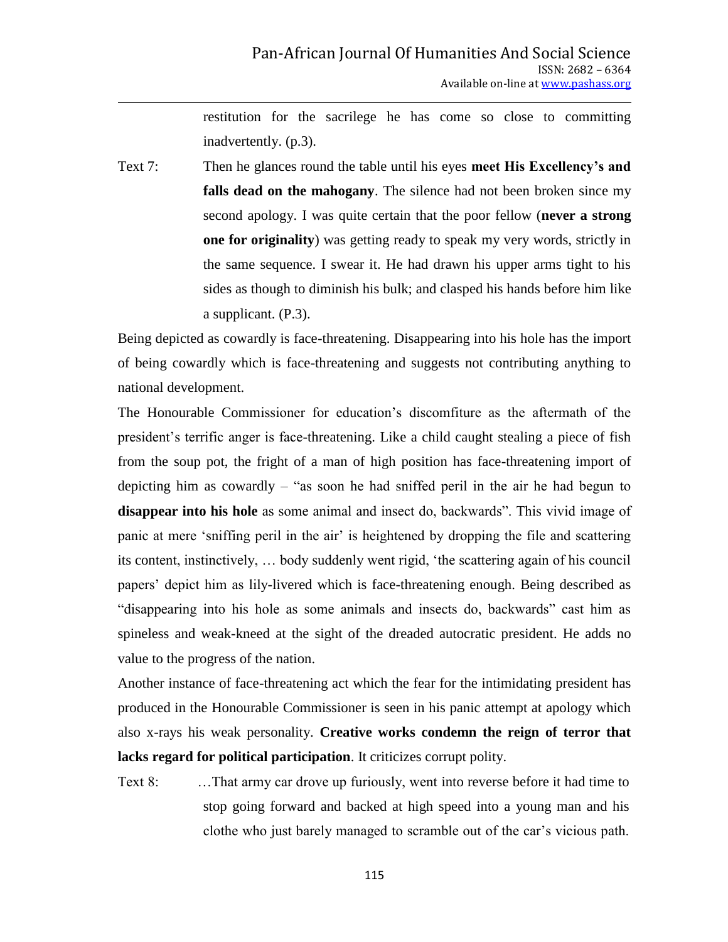restitution for the sacrilege he has come so close to committing inadvertently. (p.3).

Text 7: Then he glances round the table until his eyes **meet His Excellency's and falls dead on the mahogany**. The silence had not been broken since my second apology. I was quite certain that the poor fellow (**never a strong one for originality**) was getting ready to speak my very words, strictly in the same sequence. I swear it. He had drawn his upper arms tight to his sides as though to diminish his bulk; and clasped his hands before him like a supplicant. (P.3).

Being depicted as cowardly is face-threatening. Disappearing into his hole has the import of being cowardly which is face-threatening and suggests not contributing anything to national development.

The Honourable Commissioner for education's discomfiture as the aftermath of the president"s terrific anger is face-threatening. Like a child caught stealing a piece of fish from the soup pot, the fright of a man of high position has face-threatening import of depicting him as cowardly – "as soon he had sniffed peril in the air he had begun to **disappear into his hole** as some animal and insect do, backwards". This vivid image of panic at mere 'sniffing peril in the air' is heightened by dropping the file and scattering its content, instinctively, … body suddenly went rigid, "the scattering again of his council papers" depict him as lily-livered which is face-threatening enough. Being described as "disappearing into his hole as some animals and insects do, backwards" cast him as spineless and weak-kneed at the sight of the dreaded autocratic president. He adds no value to the progress of the nation.

Another instance of face-threatening act which the fear for the intimidating president has produced in the Honourable Commissioner is seen in his panic attempt at apology which also x-rays his weak personality. **Creative works condemn the reign of terror that lacks regard for political participation**. It criticizes corrupt polity.

Text 8: …That army car drove up furiously, went into reverse before it had time to stop going forward and backed at high speed into a young man and his clothe who just barely managed to scramble out of the car"s vicious path.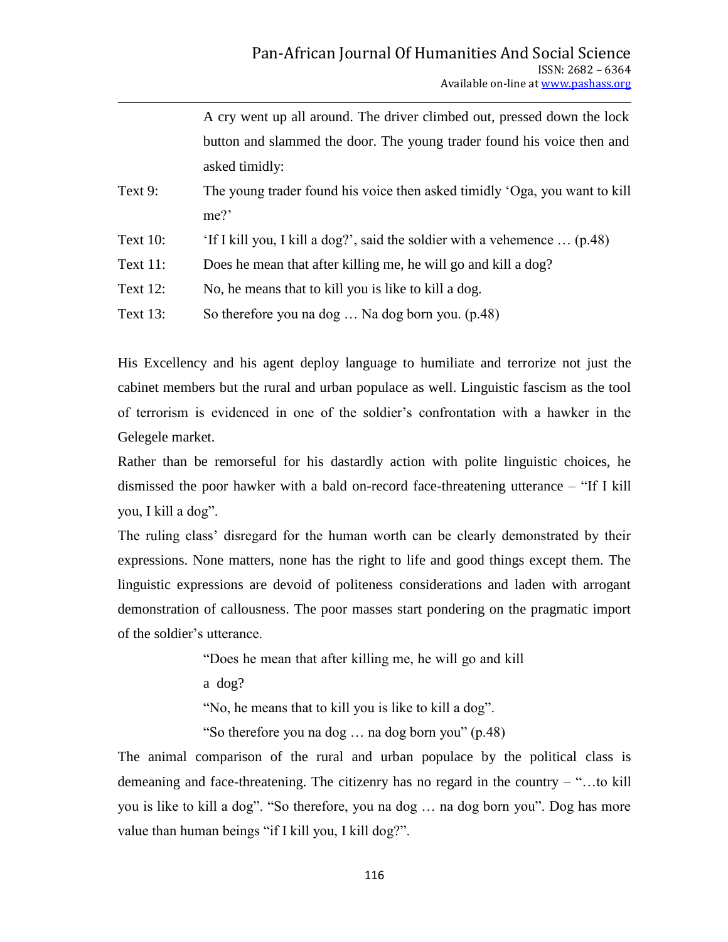|             | A cry went up all around. The driver climbed out, pressed down the lock    |
|-------------|----------------------------------------------------------------------------|
|             | button and slammed the door. The young trader found his voice then and     |
|             | asked timidly:                                                             |
| Text 9:     | The young trader found his voice then asked timidly 'Oga, you want to kill |
|             | me?                                                                        |
| Text $10$ : | 'If I kill you, I kill a dog?', said the soldier with a vehemence  (p.48)  |
| Text $11$ : | Does he mean that after killing me, he will go and kill a dog?             |
| Text $12$ : | No, he means that to kill you is like to kill a dog.                       |
| Text $13$ : | So therefore you na dog  Na dog born you. (p.48)                           |

His Excellency and his agent deploy language to humiliate and terrorize not just the cabinet members but the rural and urban populace as well. Linguistic fascism as the tool of terrorism is evidenced in one of the soldier"s confrontation with a hawker in the Gelegele market.

Rather than be remorseful for his dastardly action with polite linguistic choices, he dismissed the poor hawker with a bald on-record face-threatening utterance – "If I kill you, I kill a dog".

The ruling class' disregard for the human worth can be clearly demonstrated by their expressions. None matters, none has the right to life and good things except them. The linguistic expressions are devoid of politeness considerations and laden with arrogant demonstration of callousness. The poor masses start pondering on the pragmatic import of the soldier"s utterance.

"Does he mean that after killing me, he will go and kill

a dog?

"No, he means that to kill you is like to kill a dog".

"So therefore you na dog … na dog born you" (p.48)

The animal comparison of the rural and urban populace by the political class is demeaning and face-threatening. The citizenry has no regard in the country – "…to kill you is like to kill a dog". "So therefore, you na dog … na dog born you". Dog has more value than human beings "if I kill you, I kill dog?".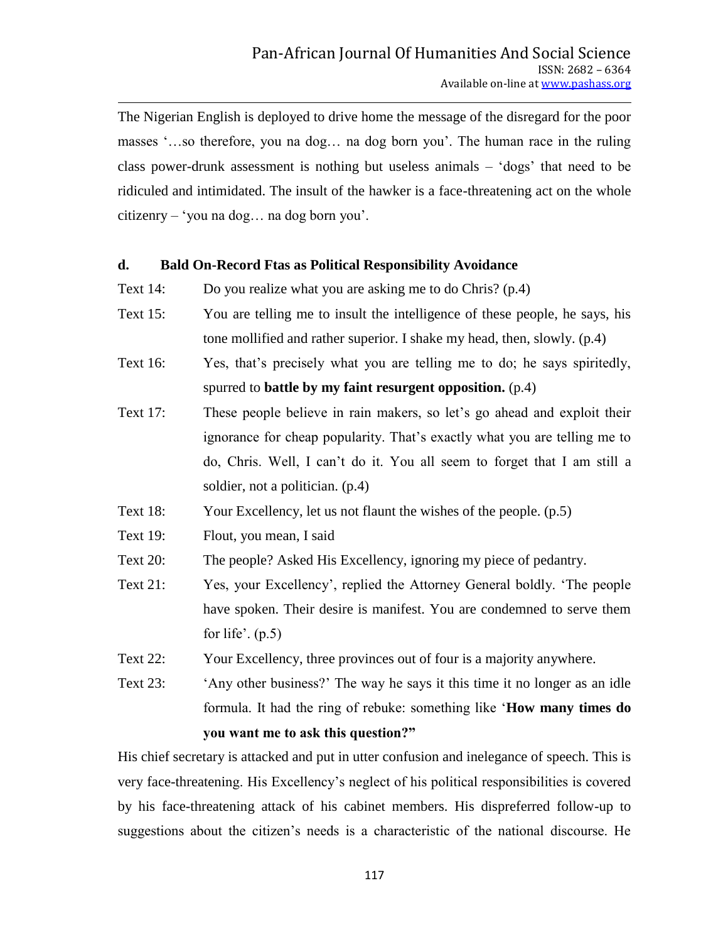The Nigerian English is deployed to drive home the message of the disregard for the poor masses "...so therefore, you na dog... na dog born you". The human race in the ruling class power-drunk assessment is nothing but useless animals – "dogs" that need to be ridiculed and intimidated. The insult of the hawker is a face-threatening act on the whole citizenry – "you na dog… na dog born you".

### **d. Bald On-Record Ftas as Political Responsibility Avoidance**

- Text 14: Do you realize what you are asking me to do Chris? (p.4)
- Text 15: You are telling me to insult the intelligence of these people, he says, his tone mollified and rather superior. I shake my head, then, slowly. (p.4)
- Text 16: Yes, that"s precisely what you are telling me to do; he says spiritedly, spurred to **battle by my faint resurgent opposition.** (p.4)
- Text 17: These people believe in rain makers, so let's go ahead and exploit their ignorance for cheap popularity. That's exactly what you are telling me to do, Chris. Well, I can"t do it. You all seem to forget that I am still a soldier, not a politician. (p.4)
- Text 18: Your Excellency, let us not flaunt the wishes of the people. (p.5)
- Text 19: Flout, you mean, I said
- Text 20: The people? Asked His Excellency, ignoring my piece of pedantry.
- Text 21: Yes, your Excellency", replied the Attorney General boldly. "The people have spoken. Their desire is manifest. You are condemned to serve them for life'.  $(p.5)$
- Text 22: Your Excellency, three provinces out of four is a majority anywhere.
- Text 23: "Any other business?" The way he says it this time it no longer as an idle formula. It had the ring of rebuke: something like "**How many times do you want me to ask this question?"**

His chief secretary is attacked and put in utter confusion and inelegance of speech. This is very face-threatening. His Excellency"s neglect of his political responsibilities is covered by his face-threatening attack of his cabinet members. His dispreferred follow-up to suggestions about the citizen"s needs is a characteristic of the national discourse. He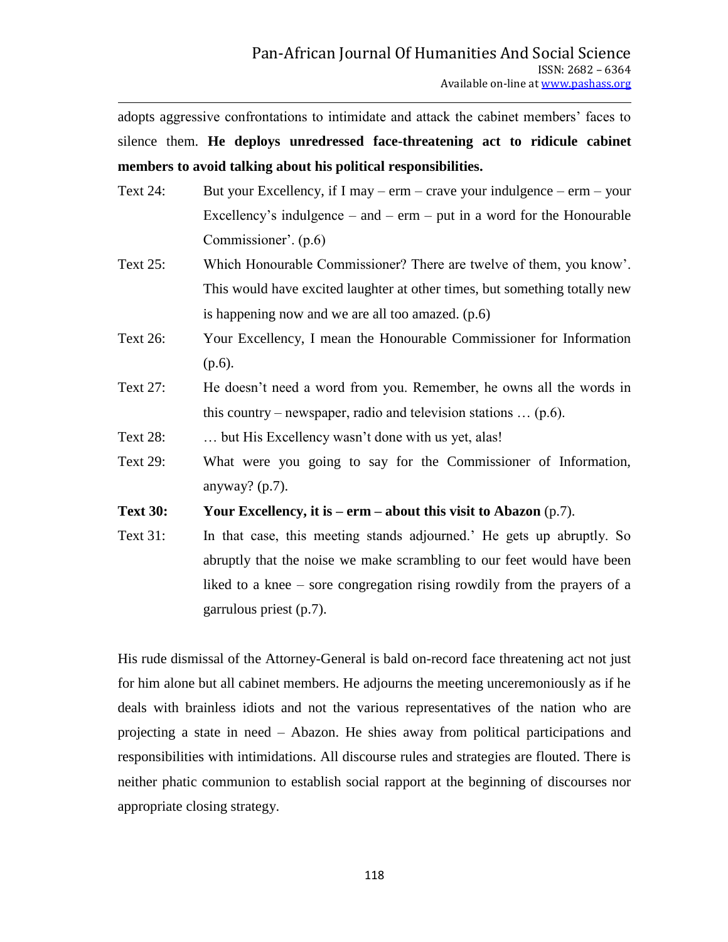adopts aggressive confrontations to intimidate and attack the cabinet members" faces to silence them. **He deploys unredressed face-threatening act to ridicule cabinet members to avoid talking about his political responsibilities.** 

- Text 24: But your Excellency, if I may erm crave your indulgence erm your Excellency's indulgence – and –  $erm - put$  in a word for the Honourable Commissioner". (p.6)
- Text 25: Which Honourable Commissioner? There are twelve of them, you know". This would have excited laughter at other times, but something totally new is happening now and we are all too amazed. (p.6)
- Text 26: Your Excellency, I mean the Honourable Commissioner for Information  $(p.6)$ .
- Text 27: He doesn"t need a word from you. Remember, he owns all the words in this country – newspaper, radio and television stations  $\dots$  (p.6).
- Text 28: … but His Excellency wasn"t done with us yet, alas!
- Text 29: What were you going to say for the Commissioner of Information, anyway? (p.7).

**Text 30: Your Excellency, it is – erm – about this visit to Abazon** (p.7).

Text 31: In that case, this meeting stands adjourned." He gets up abruptly. So abruptly that the noise we make scrambling to our feet would have been liked to a knee – sore congregation rising rowdily from the prayers of a garrulous priest (p.7).

His rude dismissal of the Attorney-General is bald on-record face threatening act not just for him alone but all cabinet members. He adjourns the meeting unceremoniously as if he deals with brainless idiots and not the various representatives of the nation who are projecting a state in need – Abazon. He shies away from political participations and responsibilities with intimidations. All discourse rules and strategies are flouted. There is neither phatic communion to establish social rapport at the beginning of discourses nor appropriate closing strategy.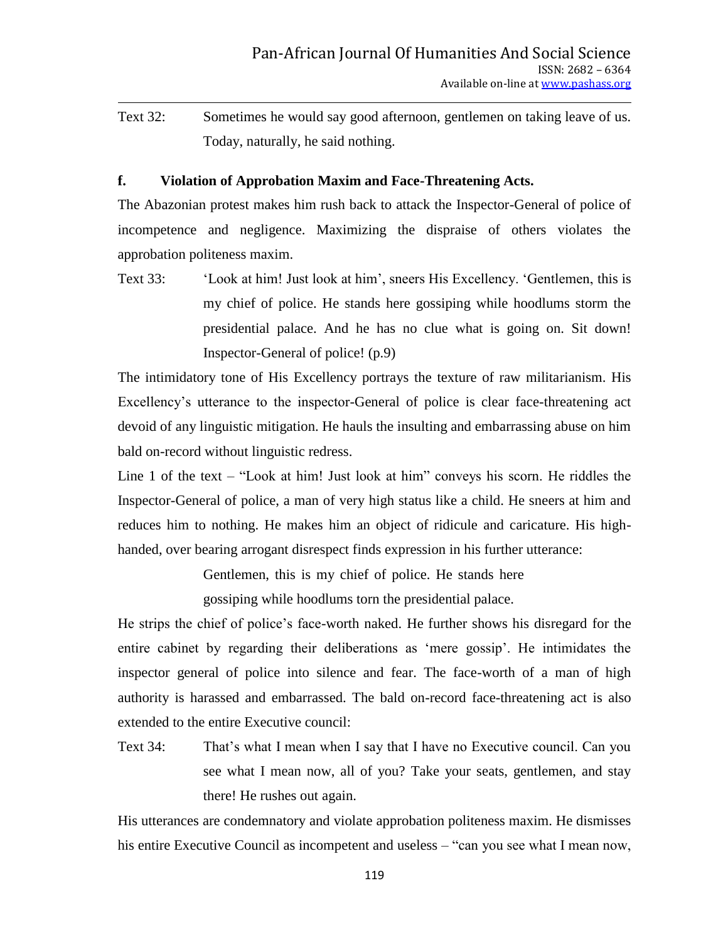Text 32: Sometimes he would say good afternoon, gentlemen on taking leave of us. Today, naturally, he said nothing.

# **f. Violation of Approbation Maxim and Face-Threatening Acts.**

The Abazonian protest makes him rush back to attack the Inspector-General of police of incompetence and negligence. Maximizing the dispraise of others violates the approbation politeness maxim.

Text 33: "Look at him! Just look at him", sneers His Excellency. "Gentlemen, this is my chief of police. He stands here gossiping while hoodlums storm the presidential palace. And he has no clue what is going on. Sit down! Inspector-General of police! (p.9)

The intimidatory tone of His Excellency portrays the texture of raw militarianism. His Excellency's utterance to the inspector-General of police is clear face-threatening act devoid of any linguistic mitigation. He hauls the insulting and embarrassing abuse on him bald on-record without linguistic redress.

Line 1 of the text – "Look at him! Just look at him" conveys his scorn. He riddles the Inspector-General of police, a man of very high status like a child. He sneers at him and reduces him to nothing. He makes him an object of ridicule and caricature. His highhanded, over bearing arrogant disrespect finds expression in his further utterance:

Gentlemen, this is my chief of police. He stands here

gossiping while hoodlums torn the presidential palace.

He strips the chief of police"s face-worth naked. He further shows his disregard for the entire cabinet by regarding their deliberations as "mere gossip". He intimidates the inspector general of police into silence and fear. The face-worth of a man of high authority is harassed and embarrassed. The bald on-record face-threatening act is also extended to the entire Executive council:

Text 34: That"s what I mean when I say that I have no Executive council. Can you see what I mean now, all of you? Take your seats, gentlemen, and stay there! He rushes out again.

His utterances are condemnatory and violate approbation politeness maxim. He dismisses his entire Executive Council as incompetent and useless – "can you see what I mean now,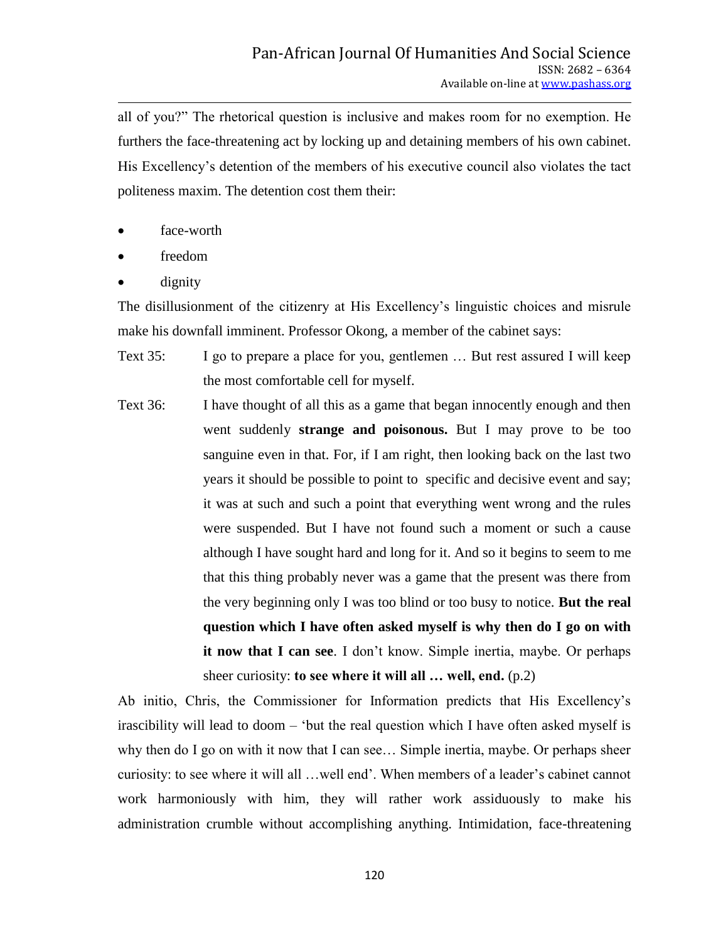all of you?" The rhetorical question is inclusive and makes room for no exemption. He furthers the face-threatening act by locking up and detaining members of his own cabinet. His Excellency"s detention of the members of his executive council also violates the tact politeness maxim. The detention cost them their:

- face-worth
- freedom
- dignity

The disillusionment of the citizenry at His Excellency"s linguistic choices and misrule make his downfall imminent. Professor Okong, a member of the cabinet says:

- Text 35: I go to prepare a place for you, gentlemen … But rest assured I will keep the most comfortable cell for myself.
- Text 36: I have thought of all this as a game that began innocently enough and then went suddenly **strange and poisonous.** But I may prove to be too sanguine even in that. For, if I am right, then looking back on the last two years it should be possible to point to specific and decisive event and say; it was at such and such a point that everything went wrong and the rules were suspended. But I have not found such a moment or such a cause although I have sought hard and long for it. And so it begins to seem to me that this thing probably never was a game that the present was there from the very beginning only I was too blind or too busy to notice. **But the real question which I have often asked myself is why then do I go on with it now that I can see**. I don't know. Simple inertia, maybe. Or perhaps sheer curiosity: **to see where it will all … well, end.** (p.2)

Ab initio, Chris, the Commissioner for Information predicts that His Excellency"s irascibility will lead to doom – "but the real question which I have often asked myself is why then do I go on with it now that I can see… Simple inertia, maybe. Or perhaps sheer curiosity: to see where it will all …well end". When members of a leader"s cabinet cannot work harmoniously with him, they will rather work assiduously to make his administration crumble without accomplishing anything. Intimidation, face-threatening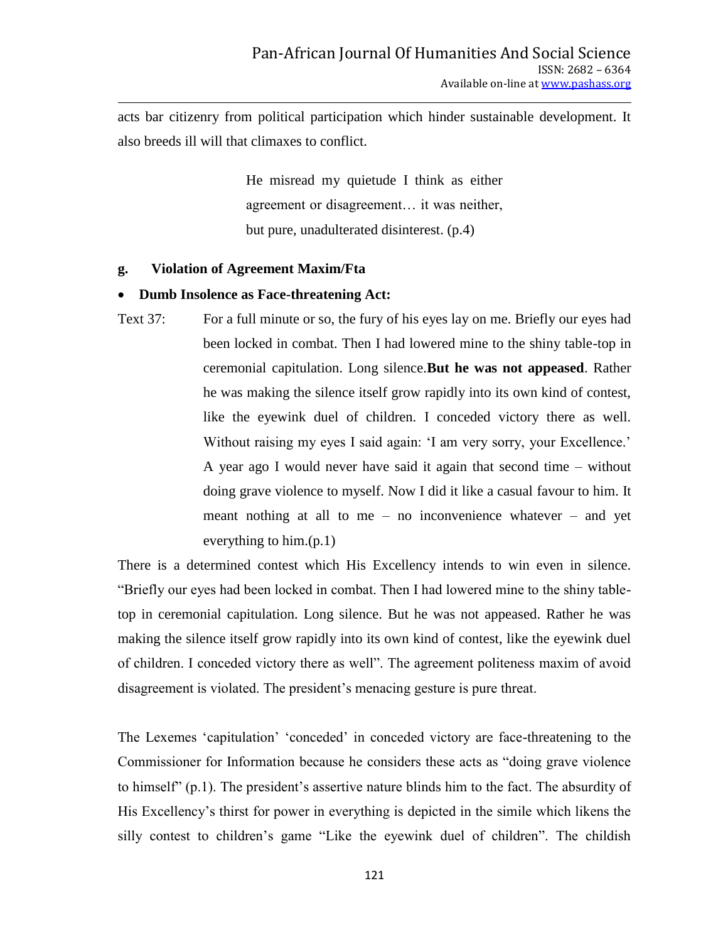acts bar citizenry from political participation which hinder sustainable development. It also breeds ill will that climaxes to conflict.

> He misread my quietude I think as either agreement or disagreement… it was neither, but pure, unadulterated disinterest. (p.4)

#### **g. Violation of Agreement Maxim/Fta**

#### **Dumb Insolence as Face-threatening Act:**

Text 37: For a full minute or so, the fury of his eyes lay on me. Briefly our eyes had been locked in combat. Then I had lowered mine to the shiny table-top in ceremonial capitulation. Long silence.**But he was not appeased**. Rather he was making the silence itself grow rapidly into its own kind of contest, like the eyewink duel of children. I conceded victory there as well. Without raising my eyes I said again: 'I am very sorry, your Excellence.' A year ago I would never have said it again that second time – without doing grave violence to myself. Now I did it like a casual favour to him. It meant nothing at all to me – no inconvenience whatever – and yet everything to him.(p.1)

There is a determined contest which His Excellency intends to win even in silence. "Briefly our eyes had been locked in combat. Then I had lowered mine to the shiny tabletop in ceremonial capitulation. Long silence. But he was not appeased. Rather he was making the silence itself grow rapidly into its own kind of contest, like the eyewink duel of children. I conceded victory there as well". The agreement politeness maxim of avoid disagreement is violated. The president's menacing gesture is pure threat.

The Lexemes 'capitulation' 'conceded' in conceded victory are face-threatening to the Commissioner for Information because he considers these acts as "doing grave violence to himself" (p.1). The president"s assertive nature blinds him to the fact. The absurdity of His Excellency"s thirst for power in everything is depicted in the simile which likens the silly contest to children"s game "Like the eyewink duel of children". The childish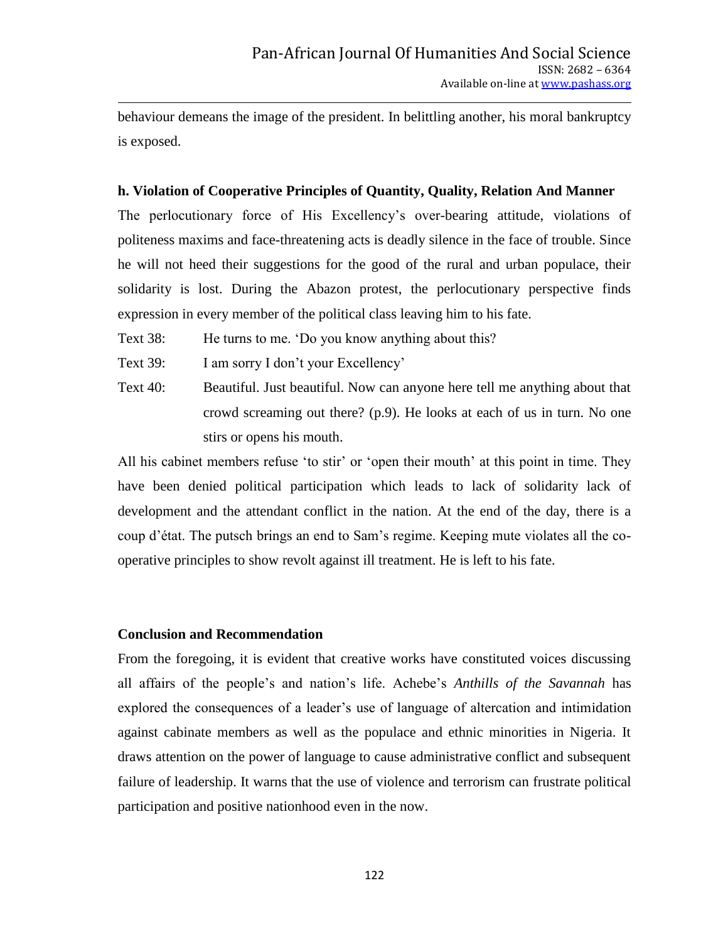behaviour demeans the image of the president. In belittling another, his moral bankruptcy is exposed.

# **h. Violation of Cooperative Principles of Quantity, Quality, Relation And Manner**

The perlocutionary force of His Excellency"s over-bearing attitude, violations of politeness maxims and face-threatening acts is deadly silence in the face of trouble. Since he will not heed their suggestions for the good of the rural and urban populace, their solidarity is lost. During the Abazon protest, the perlocutionary perspective finds expression in every member of the political class leaving him to his fate.

- Text 38: He turns to me. "Do you know anything about this?
- Text 39: I am sorry I don't your Excellency'
- Text 40: Beautiful. Just beautiful. Now can anyone here tell me anything about that crowd screaming out there? (p.9). He looks at each of us in turn. No one stirs or opens his mouth.

All his cabinet members refuse 'to stir' or 'open their mouth' at this point in time. They have been denied political participation which leads to lack of solidarity lack of development and the attendant conflict in the nation. At the end of the day, there is a coup d"état. The putsch brings an end to Sam"s regime. Keeping mute violates all the cooperative principles to show revolt against ill treatment. He is left to his fate.

#### **Conclusion and Recommendation**

From the foregoing, it is evident that creative works have constituted voices discussing all affairs of the people"s and nation"s life. Achebe"s *Anthills of the Savannah* has explored the consequences of a leader"s use of language of altercation and intimidation against cabinate members as well as the populace and ethnic minorities in Nigeria. It draws attention on the power of language to cause administrative conflict and subsequent failure of leadership. It warns that the use of violence and terrorism can frustrate political participation and positive nationhood even in the now.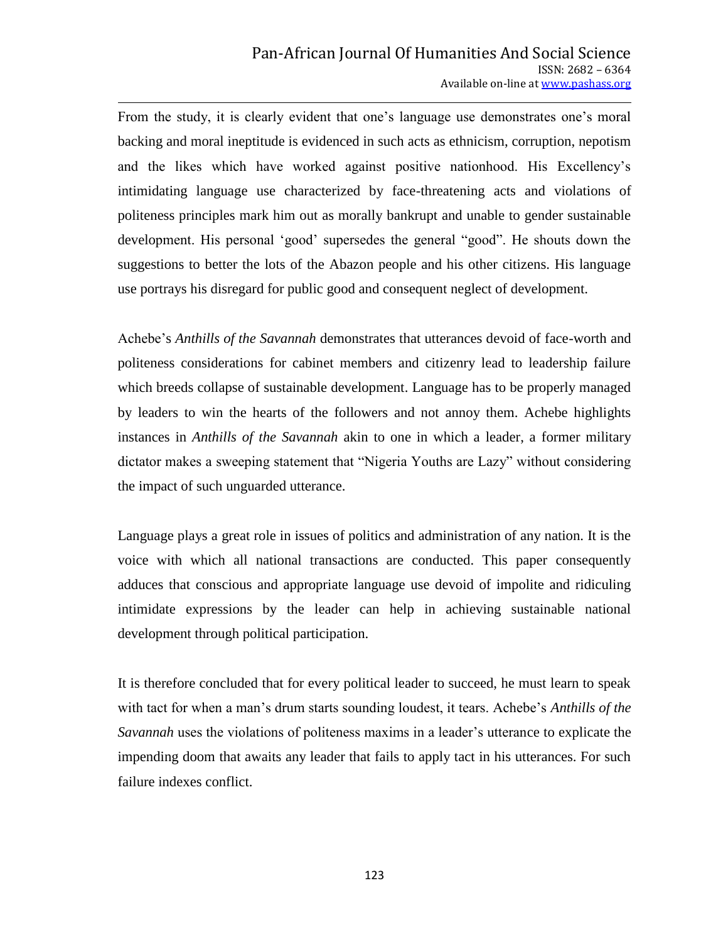From the study, it is clearly evident that one's language use demonstrates one's moral backing and moral ineptitude is evidenced in such acts as ethnicism, corruption, nepotism and the likes which have worked against positive nationhood. His Excellency"s intimidating language use characterized by face-threatening acts and violations of politeness principles mark him out as morally bankrupt and unable to gender sustainable development. His personal "good" supersedes the general "good". He shouts down the suggestions to better the lots of the Abazon people and his other citizens. His language use portrays his disregard for public good and consequent neglect of development.

Achebe"s *Anthills of the Savannah* demonstrates that utterances devoid of face-worth and politeness considerations for cabinet members and citizenry lead to leadership failure which breeds collapse of sustainable development. Language has to be properly managed by leaders to win the hearts of the followers and not annoy them. Achebe highlights instances in *Anthills of the Savannah* akin to one in which a leader, a former military dictator makes a sweeping statement that "Nigeria Youths are Lazy" without considering the impact of such unguarded utterance.

Language plays a great role in issues of politics and administration of any nation. It is the voice with which all national transactions are conducted. This paper consequently adduces that conscious and appropriate language use devoid of impolite and ridiculing intimidate expressions by the leader can help in achieving sustainable national development through political participation.

It is therefore concluded that for every political leader to succeed, he must learn to speak with tact for when a man"s drum starts sounding loudest, it tears. Achebe"s *Anthills of the Savannah* uses the violations of politeness maxims in a leader's utterance to explicate the impending doom that awaits any leader that fails to apply tact in his utterances. For such failure indexes conflict.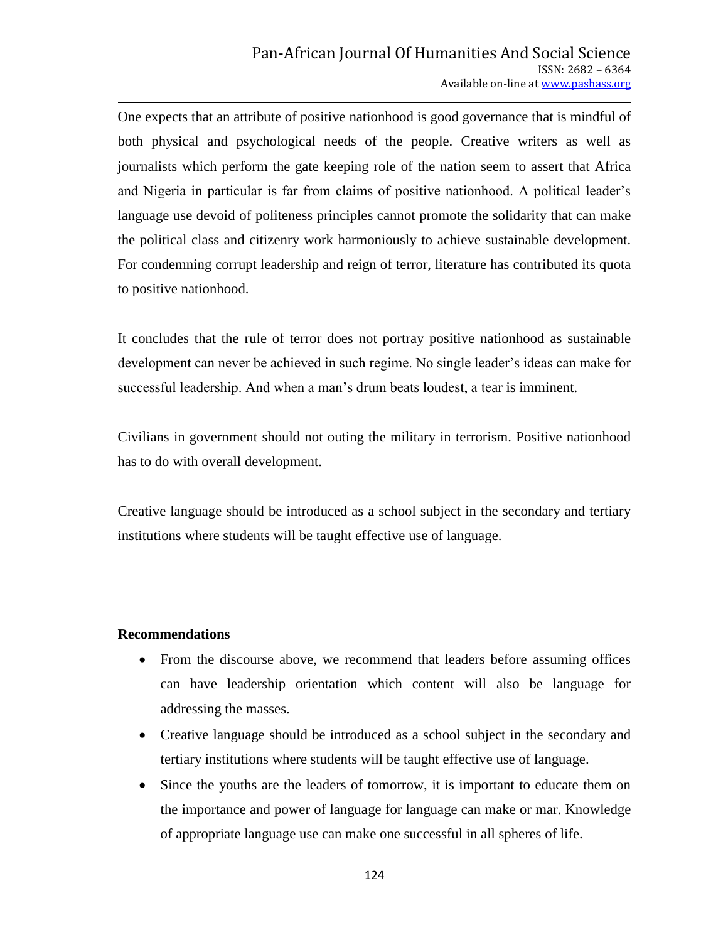One expects that an attribute of positive nationhood is good governance that is mindful of both physical and psychological needs of the people. Creative writers as well as journalists which perform the gate keeping role of the nation seem to assert that Africa and Nigeria in particular is far from claims of positive nationhood. A political leader"s language use devoid of politeness principles cannot promote the solidarity that can make the political class and citizenry work harmoniously to achieve sustainable development. For condemning corrupt leadership and reign of terror, literature has contributed its quota to positive nationhood.

It concludes that the rule of terror does not portray positive nationhood as sustainable development can never be achieved in such regime. No single leader"s ideas can make for successful leadership. And when a man's drum beats loudest, a tear is imminent.

Civilians in government should not outing the military in terrorism. Positive nationhood has to do with overall development.

Creative language should be introduced as a school subject in the secondary and tertiary institutions where students will be taught effective use of language.

#### **Recommendations**

- From the discourse above, we recommend that leaders before assuming offices can have leadership orientation which content will also be language for addressing the masses.
- Creative language should be introduced as a school subject in the secondary and tertiary institutions where students will be taught effective use of language.
- Since the youths are the leaders of tomorrow, it is important to educate them on the importance and power of language for language can make or mar. Knowledge of appropriate language use can make one successful in all spheres of life.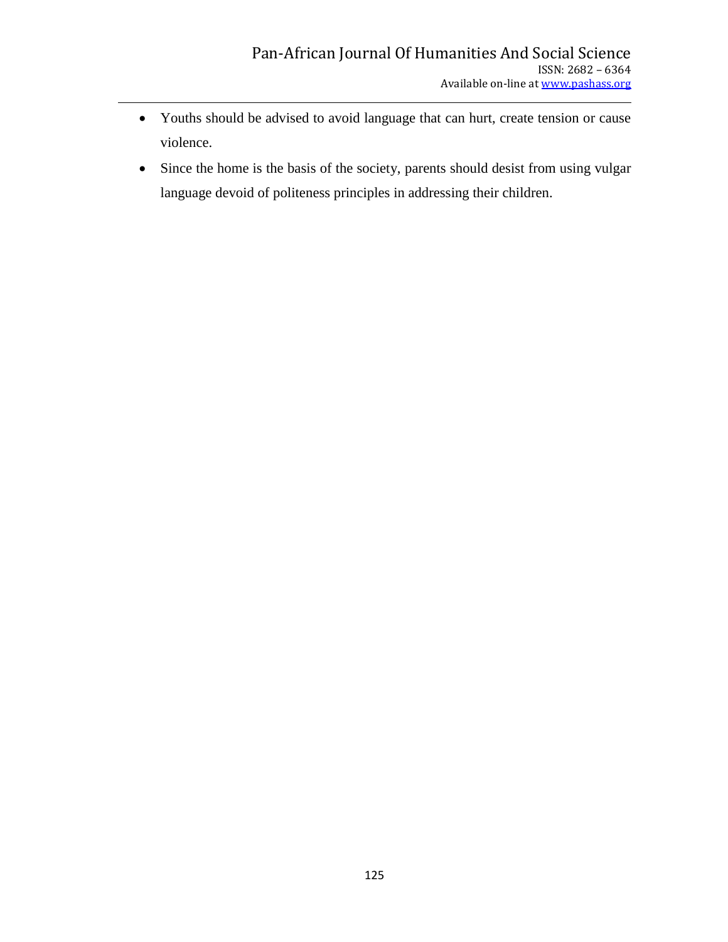- Youths should be advised to avoid language that can hurt, create tension or cause violence.
- Since the home is the basis of the society, parents should desist from using vulgar language devoid of politeness principles in addressing their children.